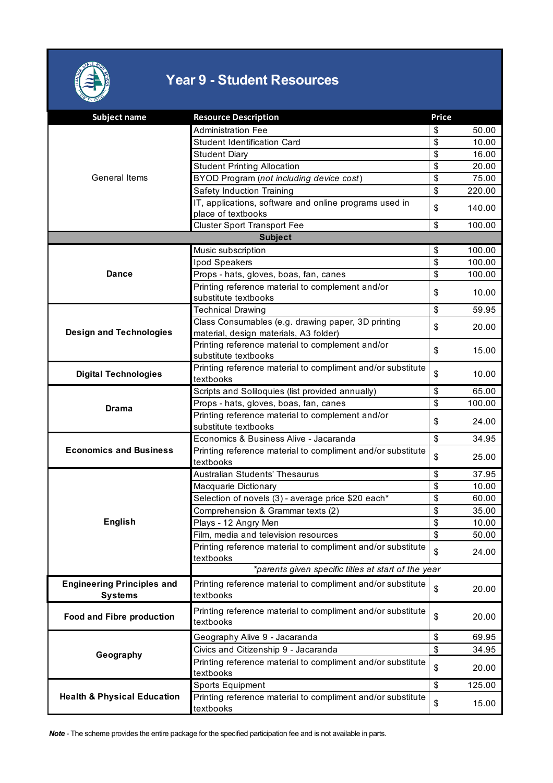

## **Year 9 - Student Resources**

| <b>Subject name</b>                    | <b>Resource Description</b>                                                                | Price                                |        |  |  |  |
|----------------------------------------|--------------------------------------------------------------------------------------------|--------------------------------------|--------|--|--|--|
| General Items                          | <b>Administration Fee</b>                                                                  | \$                                   | 50.00  |  |  |  |
|                                        | <b>Student Identification Card</b>                                                         | \$                                   | 10.00  |  |  |  |
|                                        | <b>Student Diary</b>                                                                       | \$                                   | 16.00  |  |  |  |
|                                        | <b>Student Printing Allocation</b>                                                         | $\overline{\mathbb{S}}$              | 20.00  |  |  |  |
|                                        | BYOD Program (not including device cost)                                                   | \$                                   | 75.00  |  |  |  |
|                                        | Safety Induction Training                                                                  | \$                                   | 220.00 |  |  |  |
|                                        | IT, applications, software and online programs used in                                     |                                      |        |  |  |  |
|                                        | place of textbooks                                                                         | \$                                   | 140.00 |  |  |  |
|                                        | <b>Cluster Sport Transport Fee</b>                                                         | \$                                   | 100.00 |  |  |  |
| <b>Subject</b>                         |                                                                                            |                                      |        |  |  |  |
|                                        | Music subscription                                                                         | \$                                   | 100.00 |  |  |  |
|                                        | Ipod Speakers                                                                              | \$                                   | 100.00 |  |  |  |
| <b>Dance</b>                           | Props - hats, gloves, boas, fan, canes                                                     | \$                                   | 100.00 |  |  |  |
|                                        | Printing reference material to complement and/or                                           | \$                                   | 10.00  |  |  |  |
|                                        | substitute textbooks                                                                       |                                      |        |  |  |  |
|                                        | <b>Technical Drawing</b>                                                                   | \$                                   | 59.95  |  |  |  |
|                                        | Class Consumables (e.g. drawing paper, 3D printing                                         | \$                                   | 20.00  |  |  |  |
| <b>Design and Technologies</b>         | material, design materials, A3 folder)                                                     |                                      |        |  |  |  |
|                                        | Printing reference material to complement and/or                                           | \$                                   | 15.00  |  |  |  |
|                                        | substitute textbooks                                                                       |                                      |        |  |  |  |
| <b>Digital Technologies</b>            | Printing reference material to compliment and/or substitute                                | \$                                   | 10.00  |  |  |  |
|                                        | textbooks                                                                                  | \$                                   | 65.00  |  |  |  |
|                                        | Scripts and Soliloquies (list provided annually)                                           | \$                                   | 100.00 |  |  |  |
| <b>Drama</b>                           | Props - hats, gloves, boas, fan, canes<br>Printing reference material to complement and/or |                                      |        |  |  |  |
|                                        | substitute textbooks                                                                       | \$                                   | 24.00  |  |  |  |
|                                        | Economics & Business Alive - Jacaranda                                                     | $\overline{\mathcal{S}}$             | 34.95  |  |  |  |
| <b>Economics and Business</b>          | Printing reference material to compliment and/or substitute                                |                                      |        |  |  |  |
|                                        | textbooks                                                                                  | \$                                   | 25.00  |  |  |  |
|                                        | Australian Students' Thesaurus                                                             | \$                                   | 37.95  |  |  |  |
|                                        | Macquarie Dictionary                                                                       | \$                                   | 10.00  |  |  |  |
|                                        | Selection of novels (3) - average price \$20 each*                                         | \$                                   | 60.00  |  |  |  |
|                                        | Comprehension & Grammar texts (2)                                                          | \$                                   | 35.00  |  |  |  |
| <b>English</b>                         | Plays - 12 Angry Men                                                                       | $\overline{\boldsymbol{\mathsf{S}}}$ | 10.00  |  |  |  |
|                                        | Film, media and television resources                                                       | \$                                   | 50.00  |  |  |  |
|                                        | Printing reference material to compliment and/or substitute                                |                                      |        |  |  |  |
|                                        | textbooks                                                                                  | \$                                   | 24.00  |  |  |  |
|                                        | *parents given specific titles at start of the year                                        |                                      |        |  |  |  |
| <b>Engineering Principles and</b>      | Printing reference material to compliment and/or substitute                                |                                      |        |  |  |  |
| <b>Systems</b>                         | textbooks                                                                                  | \$                                   | 20.00  |  |  |  |
|                                        | Printing reference material to compliment and/or substitute                                |                                      |        |  |  |  |
| Food and Fibre production              | textbooks                                                                                  | \$                                   | 20.00  |  |  |  |
| Geography                              |                                                                                            |                                      |        |  |  |  |
|                                        | Geography Alive 9 - Jacaranda                                                              | \$<br>\$                             | 69.95  |  |  |  |
|                                        | Civics and Citizenship 9 - Jacaranda                                                       |                                      | 34.95  |  |  |  |
|                                        |                                                                                            |                                      |        |  |  |  |
|                                        | Printing reference material to compliment and/or substitute                                | \$                                   | 20.00  |  |  |  |
|                                        | textbooks                                                                                  |                                      |        |  |  |  |
| <b>Health &amp; Physical Education</b> | Sports Equipment<br>Printing reference material to compliment and/or substitute            | \$                                   | 125.00 |  |  |  |

*Note* - The scheme provides the entire package for the specified participation fee and is not available in parts.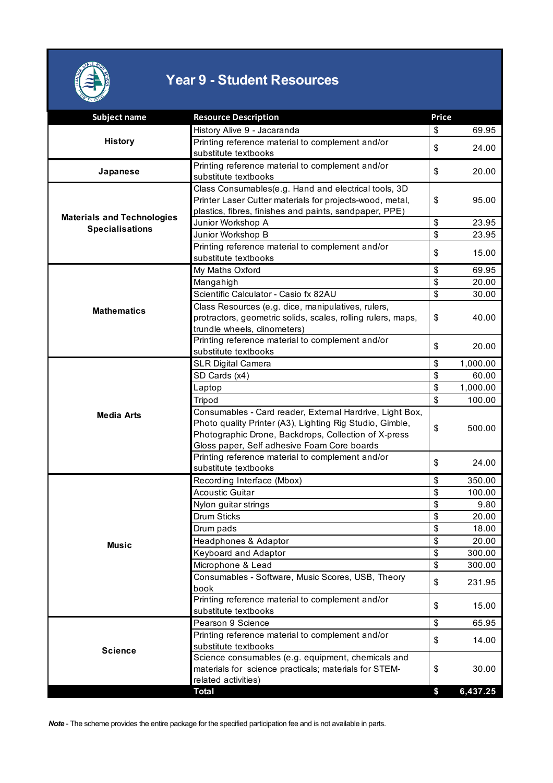

## **Year 9 - Student Resources**

| <b>Subject name</b>                                         | <b>Resource Description</b>                                  | <b>Price</b>            |          |
|-------------------------------------------------------------|--------------------------------------------------------------|-------------------------|----------|
|                                                             | History Alive 9 - Jacaranda                                  | \$                      | 69.95    |
| <b>History</b>                                              | Printing reference material to complement and/or             |                         |          |
|                                                             | substitute textbooks                                         | \$                      | 24.00    |
|                                                             | Printing reference material to complement and/or             |                         |          |
| Japanese                                                    | substitute textbooks                                         | \$                      | 20.00    |
| <b>Materials and Technologies</b><br><b>Specialisations</b> | Class Consumables(e.g. Hand and electrical tools, 3D         |                         |          |
|                                                             | Printer Laser Cutter materials for projects-wood, metal,     | \$                      | 95.00    |
|                                                             | plastics, fibres, finishes and paints, sandpaper, PPE)       |                         |          |
|                                                             | Junior Workshop A                                            | \$                      | 23.95    |
|                                                             | Junior Workshop B                                            | \$                      | 23.95    |
|                                                             | Printing reference material to complement and/or             |                         |          |
|                                                             | substitute textbooks                                         | \$                      | 15.00    |
|                                                             | My Maths Oxford                                              | \$                      | 69.95    |
|                                                             | Mangahigh                                                    | \$                      | 20.00    |
|                                                             | Scientific Calculator - Casio fx 82AU                        | \$                      | 30.00    |
| <b>Mathematics</b>                                          | Class Resources (e.g. dice, manipulatives, rulers,           |                         |          |
|                                                             | protractors, geometric solids, scales, rolling rulers, maps, | \$                      | 40.00    |
|                                                             | trundle wheels, clinometers)                                 |                         |          |
|                                                             | Printing reference material to complement and/or             |                         |          |
|                                                             | substitute textbooks                                         | \$                      | 20.00    |
|                                                             | <b>SLR Digital Camera</b>                                    | \$                      | 1,000.00 |
|                                                             | SD Cards (x4)                                                | \$                      | 60.00    |
|                                                             | Laptop                                                       | $\overline{\mathbf{S}}$ | 1,000.00 |
|                                                             | Tripod                                                       | \$                      | 100.00   |
| <b>Media Arts</b>                                           | Consumables - Card reader, External Hardrive, Light Box,     |                         |          |
|                                                             | Photo quality Printer (A3), Lighting Rig Studio, Gimble,     | \$                      | 500.00   |
|                                                             | Photographic Drone, Backdrops, Collection of X-press         |                         |          |
|                                                             | Gloss paper, Self adhesive Foam Core boards                  |                         |          |
|                                                             | Printing reference material to complement and/or             | \$                      | 24.00    |
|                                                             | substitute textbooks                                         |                         |          |
|                                                             | Recording Interface (Mbox)                                   | \$                      | 350.00   |
| <b>Music</b>                                                | <b>Acoustic Guitar</b>                                       | \$                      | 100.00   |
|                                                             | Nylon guitar strings                                         | \$                      | 9.80     |
|                                                             | <b>Drum Sticks</b>                                           | \$                      | 20.00    |
|                                                             | Drum pads                                                    | \$                      | 18.00    |
|                                                             | Headphones & Adaptor                                         | \$                      | 20.00    |
|                                                             | Keyboard and Adaptor                                         | \$                      | 300.00   |
|                                                             | Microphone & Lead                                            | \$                      | 300.00   |
|                                                             | Consumables - Software, Music Scores, USB, Theory            | \$                      | 231.95   |
|                                                             | book                                                         |                         |          |
|                                                             | Printing reference material to complement and/or             | \$                      | 15.00    |
|                                                             | substitute textbooks                                         |                         |          |
| <b>Science</b>                                              | Pearson 9 Science                                            | \$                      | 65.95    |
|                                                             | Printing reference material to complement and/or             | \$                      | 14.00    |
|                                                             | substitute textbooks                                         |                         |          |
|                                                             | Science consumables (e.g. equipment, chemicals and           |                         |          |
|                                                             | materials for science practicals; materials for STEM-        | \$                      | 30.00    |
|                                                             | related activities)                                          |                         |          |
|                                                             | Total                                                        | \$                      | 6,437.25 |

*Note* - The scheme provides the entire package for the specified participation fee and is not available in parts.